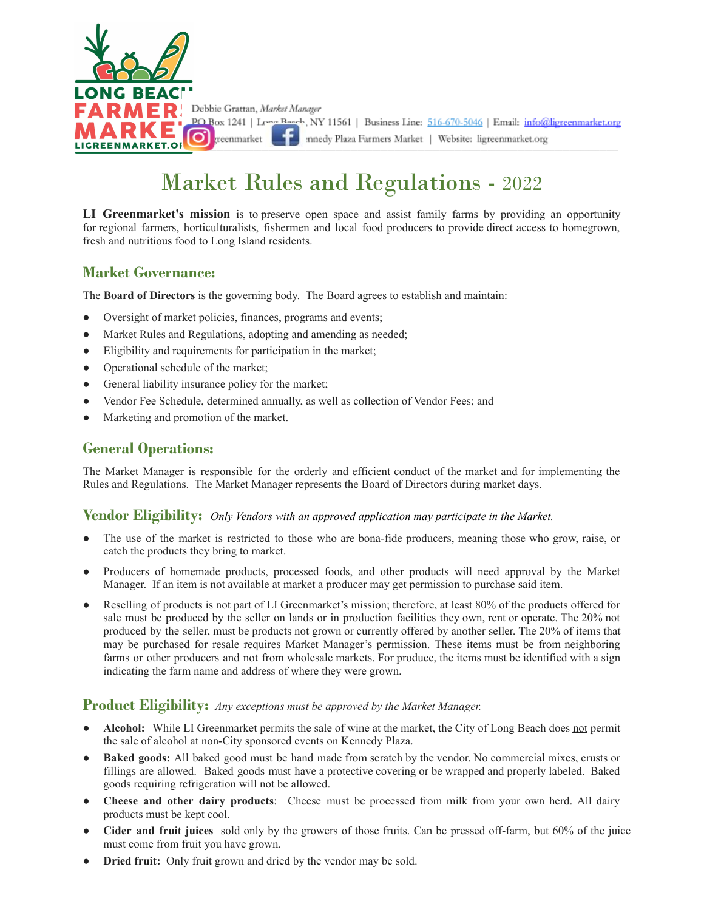

# Market Rules and Regulations - 2022

**LI Greenmarket's mission** is to preserve open space and assist family farms by providing an opportunity for regional farmers, horticulturalists, fishermen and local food producers to provide direct access to homegrown, fresh and nutritious food to Long Island residents.

## **Market Governance:**

The **Board of Directors** is the governing body. The Board agrees to establish and maintain:

- **●** Oversight of market policies, finances, programs and events;
- Market Rules and Regulations, adopting and amending as needed;
- Eligibility and requirements for participation in the market;
- Operational schedule of the market;
- General liability insurance policy for the market;
- Vendor Fee Schedule, determined annually, as well as collection of Vendor Fees; and
- Marketing and promotion of the market.

## **General Operations:**

The Market Manager is responsible for the orderly and efficient conduct of the market and for implementing the Rules and Regulations. The Market Manager represents the Board of Directors during market days.

#### **Vendor Eligibility:** *Only Vendors with an approved application may participate in the Market.*

- The use of the market is restricted to those who are bona-fide producers, meaning those who grow, raise, or catch the products they bring to market.
- Producers of homemade products, processed foods, and other products will need approval by the Market Manager. If an item is not available at market a producer may get permission to purchase said item.
- Reselling of products is not part of LI Greenmarket's mission; therefore, at least 80% of the products offered for sale must be produced by the seller on lands or in production facilities they own, rent or operate. The 20% not produced by the seller, must be products not grown or currently offered by another seller. The 20% of items that may be purchased for resale requires Market Manager's permission. These items must be from neighboring farms or other producers and not from wholesale markets. For produce, the items must be identified with a sign indicating the farm name and address of where they were grown.

#### **Product Eligibility:** *Any exceptions must be approved by the Market Manager.*

- Alcohol: While LI Greenmarket permits the sale of wine at the market, the City of Long Beach does not permit the sale of alcohol at non-City sponsored events on Kennedy Plaza.
- **Baked goods:** All baked good must be hand made from scratch by the vendor. No commercial mixes, crusts or fillings are allowed. Baked goods must have a protective covering or be wrapped and properly labeled. Baked goods requiring refrigeration will not be allowed.
- **Cheese and other dairy products**: Cheese must be processed from milk from your own herd. All dairy products must be kept cool.
- **Cider and fruit juices** sold only by the growers of those fruits. Can be pressed off-farm, but 60% of the juice must come from fruit you have grown.
- **Dried fruit:** Only fruit grown and dried by the vendor may be sold.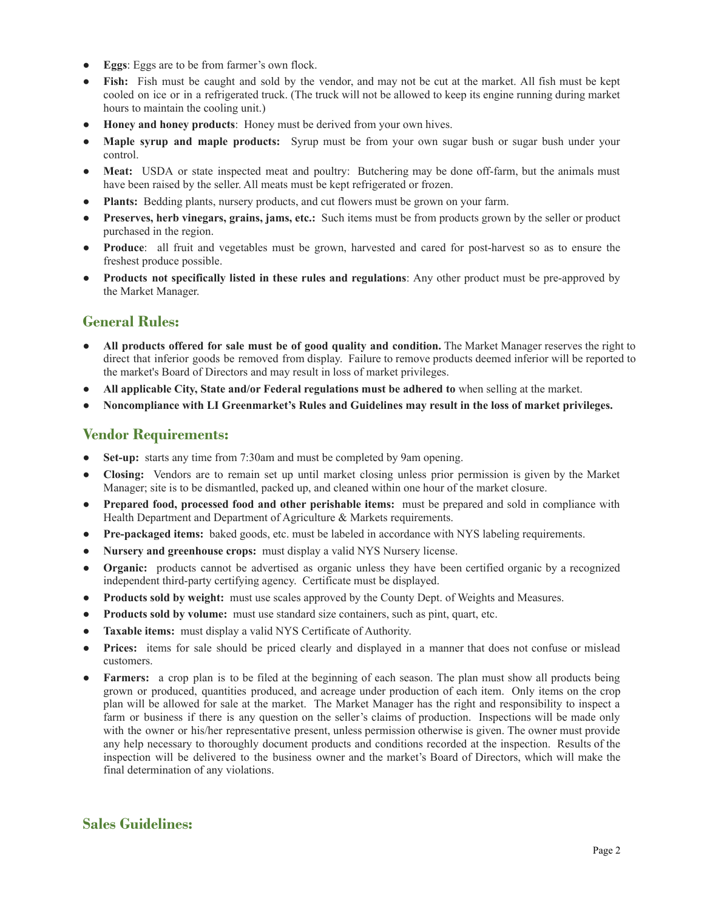- **Eggs**: Eggs are to be from farmer's own flock.
- Fish: Fish must be caught and sold by the vendor, and may not be cut at the market. All fish must be kept cooled on ice or in a refrigerated truck. (The truck will not be allowed to keep its engine running during market hours to maintain the cooling unit.)
- **Honey and honey products**: Honey must be derived from your own hives.
- **Maple syrup and maple products:** Syrup must be from your own sugar bush or sugar bush under your control.
- **Meat:** USDA or state inspected meat and poultry: Butchering may be done off-farm, but the animals must have been raised by the seller. All meats must be kept refrigerated or frozen.
- **Plants:** Bedding plants, nursery products, and cut flowers must be grown on your farm.
- **Preserves, herb vinegars, grains, jams, etc.:** Such items must be from products grown by the seller or product purchased in the region.
- **Produce**: all fruit and vegetables must be grown, harvested and cared for post-harvest so as to ensure the freshest produce possible.
- **Products not specifically listed in these rules and regulations**: Any other product must be pre-approved by the Market Manager.

# **General Rules:**

- **All products offered for sale must be of good quality and condition.** The Market Manager reserves the right to direct that inferior goods be removed from display. Failure to remove products deemed inferior will be reported to the market's Board of Directors and may result in loss of market privileges.
- **All applicable City, State and/or Federal regulations must be adhered to** when selling at the market.
- **Noncompliance with LI Greenmarket's Rules and Guidelines may result in the loss of market privileges.**

#### **Vendor Requirements:**

- **Set-up:** starts any time from 7:30am and must be completed by 9am opening.
- **Closing:** Vendors are to remain set up until market closing unless prior permission is given by the Market Manager; site is to be dismantled, packed up, and cleaned within one hour of the market closure.
- **Prepared food, processed food and other perishable items:** must be prepared and sold in compliance with Health Department and Department of Agriculture & Markets requirements.
- **Pre-packaged items:** baked goods, etc. must be labeled in accordance with NYS labeling requirements.
- **Nursery and greenhouse crops:** must display a valid NYS Nursery license.
- **Organic:** products cannot be advertised as organic unless they have been certified organic by a recognized independent third-party certifying agency. Certificate must be displayed.
- **Products sold by weight:** must use scales approved by the County Dept. of Weights and Measures.
- **Products sold by volume:** must use standard size containers, such as pint, quart, etc.
- **Taxable items:** must display a valid NYS Certificate of Authority.
- **Prices:** items for sale should be priced clearly and displayed in a manner that does not confuse or mislead customers.
- **Farmers:** a crop plan is to be filed at the beginning of each season. The plan must show all products being grown or produced, quantities produced, and acreage under production of each item. Only items on the crop plan will be allowed for sale at the market. The Market Manager has the right and responsibility to inspect a farm or business if there is any question on the seller's claims of production. Inspections will be made only with the owner or his/her representative present, unless permission otherwise is given. The owner must provide any help necessary to thoroughly document products and conditions recorded at the inspection. Results of the inspection will be delivered to the business owner and the market's Board of Directors, which will make the final determination of any violations.

# **Sales Guidelines:**